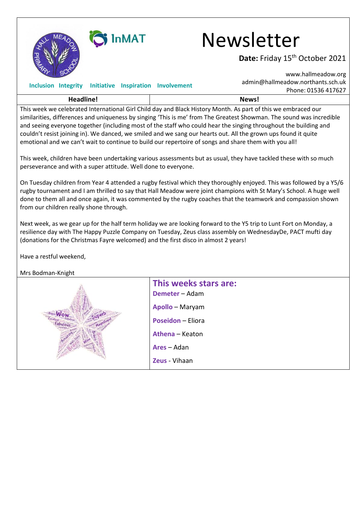

## SInMAT Newsletter

Date: Friday 15<sup>th</sup> October 2021

[www.hallmeadow.org](http://www.hallmeadow.org/)

|           |  |  |  | Inclusion Integrity Initiative Inspiration Involvement | admin@hallmeadow.northants.sch.uk                                                                             |
|-----------|--|--|--|--------------------------------------------------------|---------------------------------------------------------------------------------------------------------------|
|           |  |  |  |                                                        | Phone: 01536 417627                                                                                           |
| Headline! |  |  |  |                                                        | News!                                                                                                         |
|           |  |  |  |                                                        | This week we celebrated International Girl Child day and Black History Month. As part of this we embraced our |

similarities, differences and uniqueness by singing 'This is me' from The Greatest Showman. The sound was incredible and seeing everyone together (including most of the staff who could hear the singing throughout the building and couldn't resist joining in). We danced, we smiled and we sang our hearts out. All the grown ups found it quite emotional and we can't wait to continue to build our repertoire of songs and share them with you all!

This week, children have been undertaking various assessments but as usual, they have tackled these with so much perseverance and with a super attitude. Well done to everyone.

On Tuesday children from Year 4 attended a rugby festival which they thoroughly enjoyed. This was followed by a Y5/6 rugby tournament and I am thrilled to say that Hall Meadow were joint champions with St Mary's School. A huge well done to them all and once again, it was commented by the rugby coaches that the teamwork and compassion shown from our children really shone through.

Next week, as we gear up for the half term holiday we are looking forward to the Y5 trip to Lunt Fort on Monday, a resilience day with The Happy Puzzle Company on Tuesday, Zeus class assembly on WednesdayDe, PACT mufti day (donations for the Christmas Fayre welcomed) and the first disco in almost 2 years!

Have a restful weekend,

Mrs Bodman-Knight

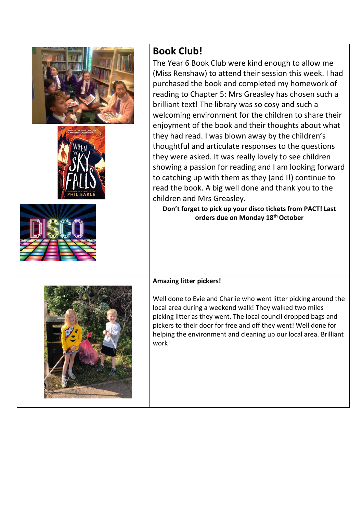| <b>Book Club!</b><br>The Year 6 Book Club were kind enough to allow me<br>(Miss Renshaw) to attend their session this week. I had<br>purchased the book and completed my homework of<br>reading to Chapter 5: Mrs Greasley has chosen such a<br>brilliant text! The library was so cosy and such a<br>welcoming environment for the children to share their<br>enjoyment of the book and their thoughts about what<br>they had read. I was blown away by the children's<br>thoughtful and articulate responses to the questions<br>they were asked. It was really lovely to see children<br>showing a passion for reading and I am looking forward<br>to catching up with them as they (and I!) continue to<br>read the book. A big well done and thank you to the<br>children and Mrs Greasley.<br>Don't forget to pick up your disco tickets from PACT! Last |
|----------------------------------------------------------------------------------------------------------------------------------------------------------------------------------------------------------------------------------------------------------------------------------------------------------------------------------------------------------------------------------------------------------------------------------------------------------------------------------------------------------------------------------------------------------------------------------------------------------------------------------------------------------------------------------------------------------------------------------------------------------------------------------------------------------------------------------------------------------------|
| orders due on Monday 18th October<br><b>Amazing litter pickers!</b><br>Well done to Evie and Charlie who went litter picking around the<br>local area during a weekend walk! They walked two miles<br>picking litter as they went. The local council dropped bags and<br>pickers to their door for free and off they went! Well done for<br>helping the environment and cleaning up our local area. Brilliant<br>work!                                                                                                                                                                                                                                                                                                                                                                                                                                         |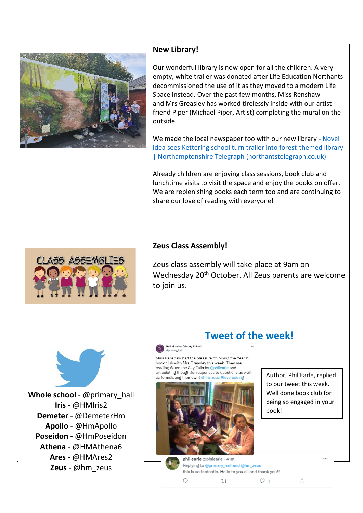

## **New Library!**

Our wonderful library is now open for all the children. A very empty, white trailer was donated after Life Education Northants decommissioned the use of it as they moved to a modern Life Space instead. Over the past few months, Miss Renshaw and Mrs Greasley has worked tirelessly inside with our artist friend Piper (Michael Piper, Artist) completing the mural on the outside.

We made the local newspaper too with our new library - Novel [idea sees Kettering school turn trailer into forest-themed library](https://www.northantstelegraph.co.uk/education/novel-idea-sees-kettering-school-turn-trailer-into-forest-themed-library-3418107)  [| Northamptonshire Telegraph \(northantstelegraph.co.uk\)](https://www.northantstelegraph.co.uk/education/novel-idea-sees-kettering-school-turn-trailer-into-forest-themed-library-3418107)

Already children are enjoying class sessions, book club and lunchtime visits to visit the space and enjoy the books on offer. We are replenishing books each term too and are continuing to share our love of reading with everyone!

## **Zeus Class Assembly!**

Zeus class assembly will take place at 9am on Wednesday 20<sup>th</sup> October. All Zeus parents are welcome to join us.

## **Tweet of the week!**

Hall Meadow Primary School

Miss Renshaw had the pleasure of joining the Year 6 book club with Mrs Greasley this week. They are reading When the Sky Falls by @philearle and articulating thoughtful responses to questions as well as formulating their own! @hm\_zeus #lovereading



Author, Phil Earle, replied to our tweet this week. Well done book club for being so engaged in your book!

**Whole school** - @primary\_hall **Iris** - @HMIris2 **Demeter** - @DemeterHm **Apollo** - @HmApollo **Poseidon** - @HmPoseidon **Athena** - @HMAthena6 **Ares** - @HMAres2 **Zeus** - @hm\_zeus

**CLASS ASSEMBLIE** 



 $\bigcirc$ 

Replying to @primary\_hall and @hm\_zeus this is so fantastic. Hello to you all and thank you!!  $O<sub>1</sub>$ tū

 $\uparrow$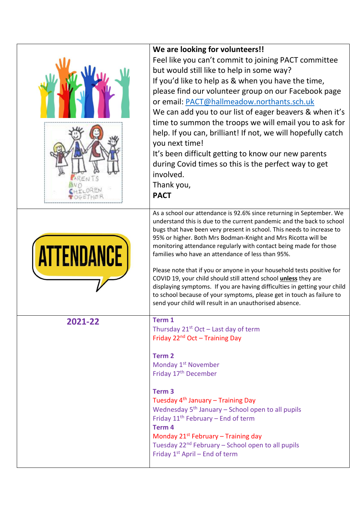|                   | We are looking for volunteers!!<br>Feel like you can't commit to joining PACT committee<br>but would still like to help in some way?<br>If you'd like to help as & when you have the time,<br>please find our volunteer group on our Facebook page<br>or email: PACT@hallmeadow.northants.sch.uk<br>We can add you to our list of eager beavers & when it's<br>time to summon the troops we will email you to ask for<br>help. If you can, brilliant! If not, we will hopefully catch<br>you next time!<br>It's been difficult getting to know our new parents<br>during Covid times so this is the perfect way to get<br>involved.<br>Thank you,<br><b>PACT</b>                                                                                                                |
|-------------------|---------------------------------------------------------------------------------------------------------------------------------------------------------------------------------------------------------------------------------------------------------------------------------------------------------------------------------------------------------------------------------------------------------------------------------------------------------------------------------------------------------------------------------------------------------------------------------------------------------------------------------------------------------------------------------------------------------------------------------------------------------------------------------|
| <b>ATTENDANCE</b> | As a school our attendance is 92.6% since returning in September. We<br>understand this is due to the current pandemic and the back to school<br>bugs that have been very present in school. This needs to increase to<br>95% or higher. Both Mrs Bodman-Knight and Mrs Ricotta will be<br>monitoring attendance regularly with contact being made for those<br>families who have an attendance of less than 95%.<br>Please note that if you or anyone in your household tests positive for<br>COVID 19, your child should still attend school unless they are<br>displaying symptoms. If you are having difficulties in getting your child<br>to school because of your symptoms, please get in touch as failure to<br>send your child will result in an unauthorised absence. |
| 2021-22           | Term 1<br>Thursday $21^{st}$ Oct – Last day of term<br>Friday 22 <sup>nd</sup> Oct - Training Day<br><b>Term 2</b><br>Monday 1 <sup>st</sup> November<br>Friday 17 <sup>th</sup> December<br>Term <sub>3</sub><br>Tuesday 4 <sup>th</sup> January - Training Day<br>Wednesday $5th$ January – School open to all pupils<br>Friday $11th$ February – End of term<br>Term <sub>4</sub><br>Monday $21^{st}$ February – Training day<br>Tuesday 22 <sup>nd</sup> February - School open to all pupils<br>Friday 1 <sup>st</sup> April - End of term                                                                                                                                                                                                                                 |